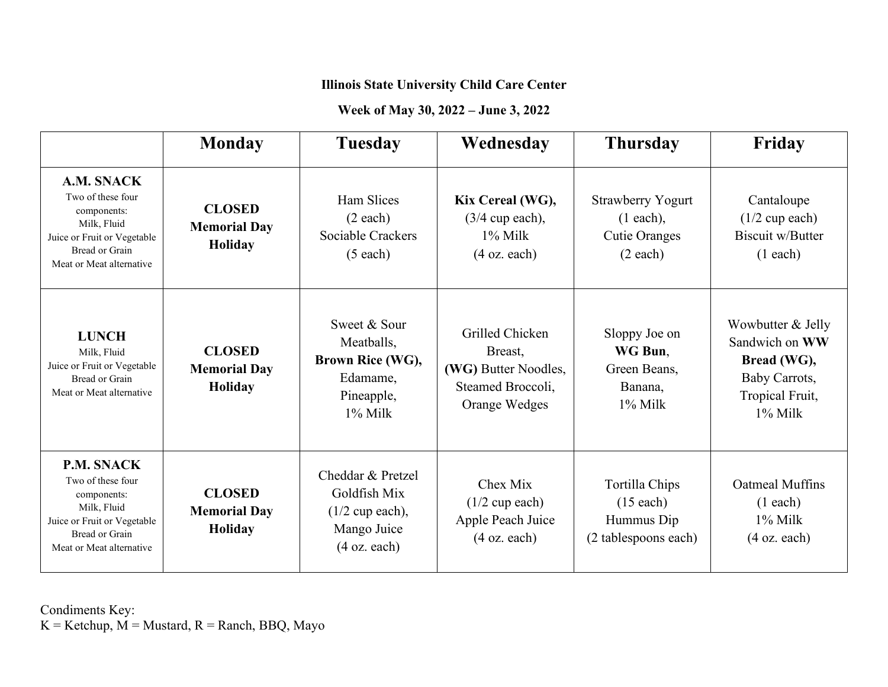# **Week of May 30, 2022 – June 3, 2022**

|                                                                                                                                            | <b>Monday</b>                                   | <b>Tuesday</b>                                                                                  | Wednesday                                                                                | <b>Thursday</b>                                                                        | Friday                                                                                               |
|--------------------------------------------------------------------------------------------------------------------------------------------|-------------------------------------------------|-------------------------------------------------------------------------------------------------|------------------------------------------------------------------------------------------|----------------------------------------------------------------------------------------|------------------------------------------------------------------------------------------------------|
| A.M. SNACK<br>Two of these four<br>components:<br>Milk, Fluid<br>Juice or Fruit or Vegetable<br>Bread or Grain<br>Meat or Meat alternative | <b>CLOSED</b><br><b>Memorial Day</b><br>Holiday | Ham Slices<br>(2 each)<br>Sociable Crackers<br>$(5$ each)                                       | Kix Cereal (WG),<br>$(3/4$ cup each),<br>$1\%$ Milk<br>$(4 \text{ oz. each})$            | <b>Strawberry Yogurt</b><br>$(1 each)$ ,<br><b>Cutie Oranges</b><br>$(2 \text{ each})$ | Cantaloupe<br>$(1/2$ cup each)<br>Biscuit w/Butter<br>(1 each)                                       |
| <b>LUNCH</b><br>Milk, Fluid<br>Juice or Fruit or Vegetable<br>Bread or Grain<br>Meat or Meat alternative                                   | <b>CLOSED</b><br><b>Memorial Day</b><br>Holiday | Sweet & Sour<br>Meatballs,<br>Brown Rice (WG),<br>Edamame,<br>Pineapple,<br>$1\%$ Milk          | Grilled Chicken<br>Breast,<br>(WG) Butter Noodles,<br>Steamed Broccoli.<br>Orange Wedges | Sloppy Joe on<br>WG Bun,<br>Green Beans,<br>Banana,<br>$1\%$ Milk                      | Wowbutter & Jelly<br>Sandwich on WW<br>Bread (WG),<br>Baby Carrots,<br>Tropical Fruit,<br>$1\%$ Milk |
| P.M. SNACK<br>Two of these four<br>components:<br>Milk, Fluid<br>Juice or Fruit or Vegetable<br>Bread or Grain<br>Meat or Meat alternative | <b>CLOSED</b><br><b>Memorial Day</b><br>Holiday | Cheddar & Pretzel<br>Goldfish Mix<br>$(1/2$ cup each),<br>Mango Juice<br>$(4 \text{ oz. each})$ | Chex Mix<br>$(1/2$ cup each)<br>Apple Peach Juice<br>$(4 \text{ oz. each})$              | Tortilla Chips<br>$(15$ each)<br>Hummus Dip<br>(2 tablespoons each)                    | <b>Oatmeal Muffins</b><br>(1 each)<br>1% Milk<br>$(4 \text{ oz. each})$                              |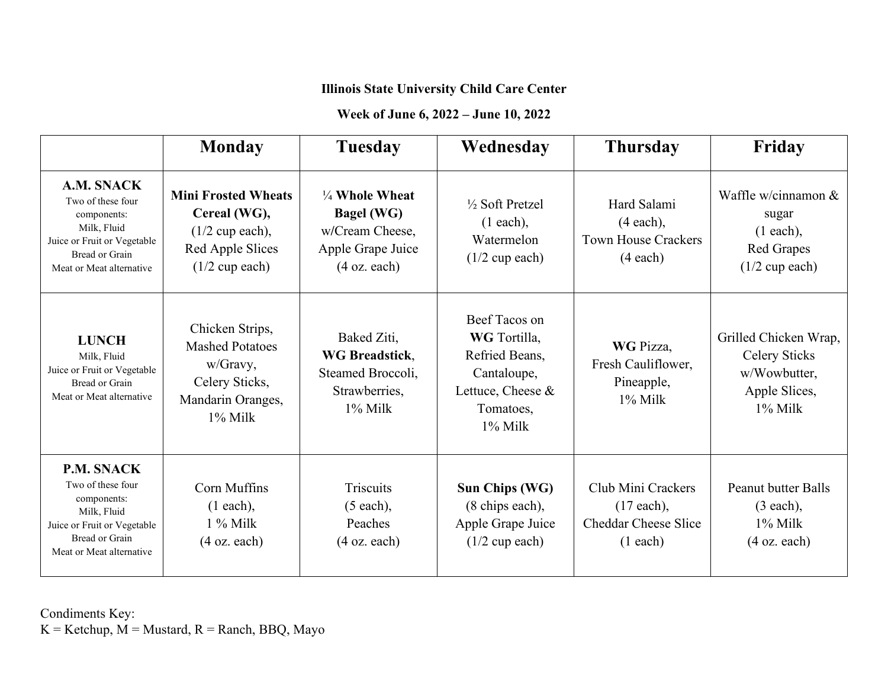#### **Week of June 6, 2022 – June 10, 2022**

|                                                                                                                                                   | <b>Monday</b>                                                                                              | <b>Tuesday</b>                                                                                                   | Wednesday                                                                                                      | <b>Thursday</b>                                                                 | Friday                                                                                       |
|---------------------------------------------------------------------------------------------------------------------------------------------------|------------------------------------------------------------------------------------------------------------|------------------------------------------------------------------------------------------------------------------|----------------------------------------------------------------------------------------------------------------|---------------------------------------------------------------------------------|----------------------------------------------------------------------------------------------|
| A.M. SNACK<br>Two of these four<br>components:<br>Milk, Fluid<br>Juice or Fruit or Vegetable<br><b>Bread or Grain</b><br>Meat or Meat alternative | <b>Mini Frosted Wheats</b><br>Cereal (WG),<br>$(1/2$ cup each),<br>Red Apple Slices<br>$(1/2$ cup each)    | $\frac{1}{4}$ Whole Wheat<br><b>Bagel (WG)</b><br>w/Cream Cheese,<br>Apple Grape Juice<br>$(4 \text{ oz. each})$ | $\frac{1}{2}$ Soft Pretzel<br>$(1 each)$ ,<br>Watermelon<br>$(1/2$ cup each)                                   | Hard Salami<br>$(4 each)$ ,<br><b>Town House Crackers</b><br>(4 each)           | Waffle w/cinnamon $&$<br>sugar<br>$(1 each)$ ,<br><b>Red Grapes</b><br>$(1/2$ cup each)      |
| <b>LUNCH</b><br>Milk, Fluid<br>Juice or Fruit or Vegetable<br><b>Bread or Grain</b><br>Meat or Meat alternative                                   | Chicken Strips,<br><b>Mashed Potatoes</b><br>w/Gravy,<br>Celery Sticks,<br>Mandarin Oranges,<br>$1\%$ Milk | Baked Ziti,<br><b>WG</b> Breadstick,<br>Steamed Broccoli,<br>Strawberries,<br>$1\%$ Milk                         | Beef Tacos on<br>WG Tortilla,<br>Refried Beans,<br>Cantaloupe,<br>Lettuce, Cheese &<br>Tomatoes,<br>$1\%$ Milk | WG Pizza,<br>Fresh Cauliflower,<br>Pineapple,<br>$1\%$ Milk                     | Grilled Chicken Wrap,<br><b>Celery Sticks</b><br>w/Wowbutter,<br>Apple Slices,<br>$1\%$ Milk |
| P.M. SNACK<br>Two of these four<br>components:<br>Milk, Fluid<br>Juice or Fruit or Vegetable<br>Bread or Grain<br>Meat or Meat alternative        | Corn Muffins<br>$(1 each)$ ,<br>$1\%$ Milk<br>$(4 \text{ oz. each})$                                       | <b>Triscuits</b><br>$(5$ each),<br>Peaches<br>$(4 \text{ oz. each})$                                             | Sun Chips (WG)<br>(8 chips each),<br>Apple Grape Juice<br>$(1/2$ cup each)                                     | Club Mini Crackers<br>$(17$ each),<br><b>Cheddar Cheese Slice</b><br>$(1$ each) | <b>Peanut butter Balls</b><br>$(3 each)$ ,<br>$1\%$ Milk<br>$(4 \text{ oz. each})$           |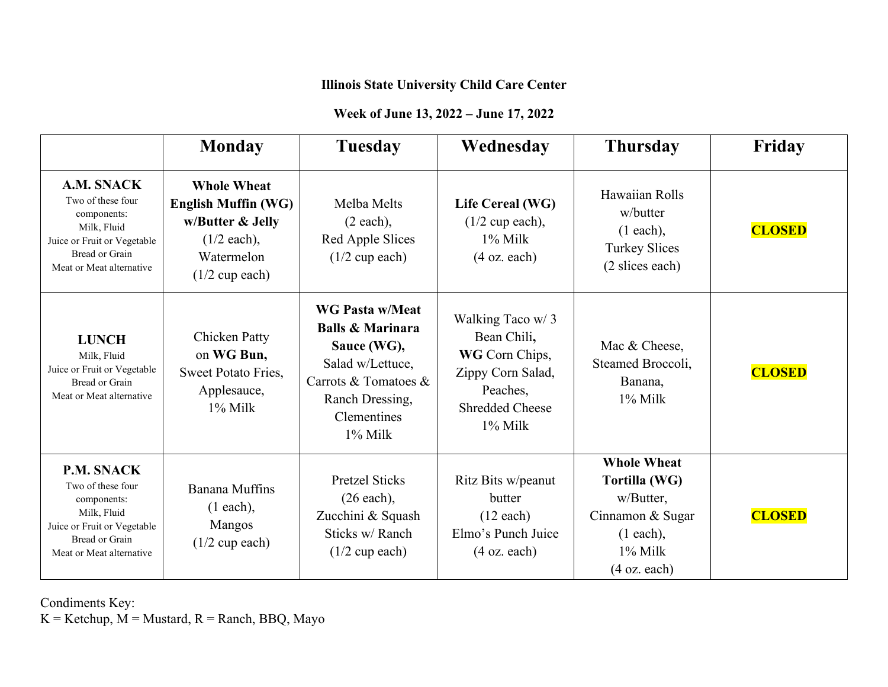## **Week of June 13, 2022 – June 17, 2022**

|                                                                                                                                                   | <b>Monday</b>                                                                                                                   | <b>Tuesday</b>                                                                                                                                                   | Wednesday                                                                                                                  | <b>Thursday</b>                                                                                                          | Friday        |
|---------------------------------------------------------------------------------------------------------------------------------------------------|---------------------------------------------------------------------------------------------------------------------------------|------------------------------------------------------------------------------------------------------------------------------------------------------------------|----------------------------------------------------------------------------------------------------------------------------|--------------------------------------------------------------------------------------------------------------------------|---------------|
| A.M. SNACK<br>Two of these four<br>components:<br>Milk, Fluid<br>Juice or Fruit or Vegetable<br><b>Bread or Grain</b><br>Meat or Meat alternative | <b>Whole Wheat</b><br><b>English Muffin (WG)</b><br>w/Butter & Jelly<br>$(1/2 \text{ each}),$<br>Watermelon<br>$(1/2$ cup each) | Melba Melts<br>(2 each),<br>Red Apple Slices<br>$(1/2$ cup each)                                                                                                 | Life Cereal (WG)<br>$(1/2$ cup each),<br>$1\%$ Milk<br>$(4 \text{ oz. each})$                                              | Hawaiian Rolls<br>w/butter<br>$(1 each)$ ,<br><b>Turkey Slices</b><br>(2 slices each)                                    | <b>CLOSED</b> |
| <b>LUNCH</b><br>Milk, Fluid<br>Juice or Fruit or Vegetable<br>Bread or Grain<br>Meat or Meat alternative                                          | <b>Chicken Patty</b><br>on WG Bun,<br>Sweet Potato Fries,<br>Applesauce,<br>$1\%$ Milk                                          | <b>WG Pasta w/Meat</b><br><b>Balls &amp; Marinara</b><br>Sauce (WG),<br>Salad w/Lettuce,<br>Carrots & Tomatoes &<br>Ranch Dressing,<br>Clementines<br>$1\%$ Milk | Walking Taco w/3<br>Bean Chili,<br>WG Corn Chips,<br>Zippy Corn Salad,<br>Peaches.<br><b>Shredded Cheese</b><br>$1\%$ Milk | Mac & Cheese,<br>Steamed Broccoli,<br>Banana,<br>1% Milk                                                                 | <b>CLOSED</b> |
| <b>P.M. SNACK</b><br>Two of these four<br>components:<br>Milk, Fluid<br>Juice or Fruit or Vegetable<br>Bread or Grain<br>Meat or Meat alternative | Banana Muffins<br>$(1 each)$ ,<br>Mangos<br>$(1/2$ cup each)                                                                    | <b>Pretzel Sticks</b><br>$(26$ each),<br>Zucchini & Squash<br>Sticks w/Ranch<br>$(1/2$ cup each)                                                                 | Ritz Bits w/peanut<br>butter<br>$(12 \text{ each})$<br>Elmo's Punch Juice<br>$(4 \text{ oz. each})$                        | <b>Whole Wheat</b><br>Tortilla (WG)<br>w/Butter,<br>Cinnamon & Sugar<br>$(1$ each),<br>1% Milk<br>$(4 \text{ oz. each})$ | <b>CLOSED</b> |

Condiments Key:

 $K =$  Ketchup,  $M =$  Mustard,  $R =$  Ranch, BBQ, Mayo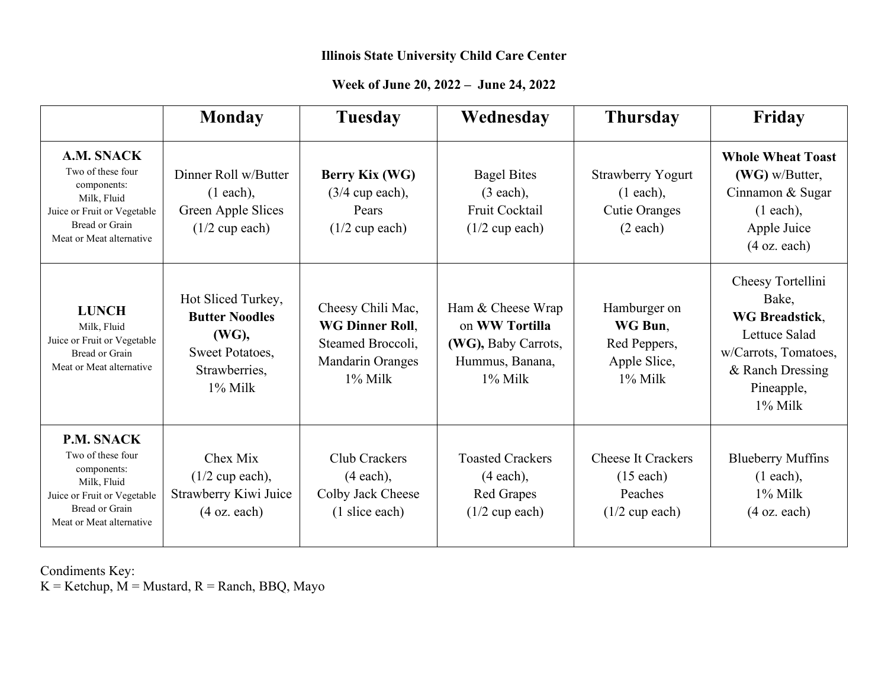#### **Week of June 20, 2022 – June 24, 2022**

|                                                                                                                                                          | <b>Monday</b>                                                                                       | <b>Tuesday</b>                                                                              | Wednesday                                                                                   | <b>Thursday</b>                                                              | Friday                                                                                                                                       |
|----------------------------------------------------------------------------------------------------------------------------------------------------------|-----------------------------------------------------------------------------------------------------|---------------------------------------------------------------------------------------------|---------------------------------------------------------------------------------------------|------------------------------------------------------------------------------|----------------------------------------------------------------------------------------------------------------------------------------------|
| A.M. SNACK<br>Two of these four<br>components:<br>Milk, Fluid<br>Juice or Fruit or Vegetable<br><b>Bread or Grain</b><br>Meat or Meat alternative        | Dinner Roll w/Butter<br>$(1 each)$ ,<br>Green Apple Slices<br>$(1/2$ cup each)                      | Berry Kix (WG)<br>$(3/4$ cup each),<br>Pears<br>$(1/2$ cup each)                            | <b>Bagel Bites</b><br>$(3 each)$ ,<br>Fruit Cocktail<br>$(1/2$ cup each)                    | <b>Strawberry Yogurt</b><br>$(1 each)$ ,<br><b>Cutie Oranges</b><br>(2 each) | <b>Whole Wheat Toast</b><br>$(WG)$ w/Butter,<br>Cinnamon & Sugar<br>$(1 each)$ ,<br>Apple Juice<br>$(4 \text{ oz. each})$                    |
| <b>LUNCH</b><br>Milk, Fluid<br>Juice or Fruit or Vegetable<br>Bread or Grain<br>Meat or Meat alternative                                                 | Hot Sliced Turkey,<br><b>Butter Noodles</b><br>(WG),<br>Sweet Potatoes,<br>Strawberries,<br>1% Milk | Cheesy Chili Mac,<br>WG Dinner Roll,<br>Steamed Broccoli,<br>Mandarin Oranges<br>$1\%$ Milk | Ham & Cheese Wrap<br>on WW Tortilla<br>(WG), Baby Carrots,<br>Hummus, Banana,<br>$1\%$ Milk | Hamburger on<br>WG Bun.<br>Red Peppers,<br>Apple Slice,<br>1% Milk           | Cheesy Tortellini<br>Bake,<br><b>WG Breadstick,</b><br>Lettuce Salad<br>w/Carrots, Tomatoes,<br>& Ranch Dressing<br>Pineapple,<br>$1\%$ Milk |
| <b>P.M. SNACK</b><br>Two of these four<br>components:<br>Milk, Fluid<br>Juice or Fruit or Vegetable<br><b>Bread or Grain</b><br>Meat or Meat alternative | Chex Mix<br>$(1/2$ cup each),<br>Strawberry Kiwi Juice<br>$(4 \text{ oz. each})$                    | Club Crackers<br>$(4 each)$ ,<br>Colby Jack Cheese<br>(1 slice each)                        | <b>Toasted Crackers</b><br>$(4 each)$ ,<br><b>Red Grapes</b><br>$(1/2$ cup each)            | <b>Cheese It Crackers</b><br>$(15$ each)<br>Peaches<br>$(1/2$ cup each)      | <b>Blueberry Muffins</b><br>$(1 each)$ ,<br>$1\%$ Milk<br>$(4 \text{ oz. each})$                                                             |

Condiments Key:

 $K =$ Ketchup,  $M =$ Mustard,  $R =$ Ranch, BBQ, Mayo